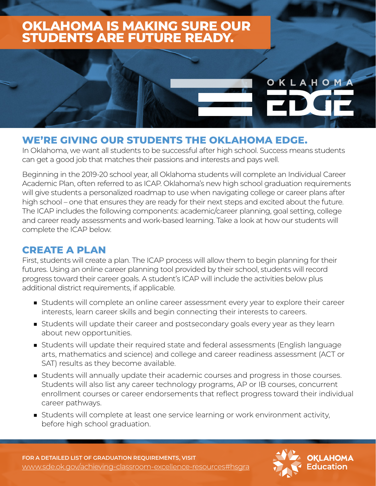## **OKLAHOMA IS MAKING SURE OUR STUDENTS ARE FUTURE READY.**

# OKLAHOMA

#### **WE'RE GIVING OUR STUDENTS THE OKLAHOMA EDGE.**

In Oklahoma, we want all students to be successful after high school. Success means students can get a good job that matches their passions and interests and pays well.

Beginning in the 2019-20 school year, all Oklahoma students will complete an Individual Career Academic Plan, often referred to as ICAP. Oklahoma's new high school graduation requirements will give students a personalized roadmap to use when navigating college or career plans after high school – one that ensures they are ready for their next steps and excited about the future. The ICAP includes the following components: academic/career planning, goal setting, college and career ready assessments and work-based learning. Take a look at how our students will complete the ICAP below.

#### **CREATE A PLAN**

First, students will create a plan. The ICAP process will allow them to begin planning for their futures. Using an online career planning tool provided by their school, students will record progress toward their career goals. A student's ICAP will include the activities below plus additional district requirements, if applicable.

- Students will complete an online career assessment every year to explore their career interests, learn career skills and begin connecting their interests to careers.
- Students will update their career and postsecondary goals every year as they learn about new opportunities.
- Students will update their required state and federal assessments (English language arts, mathematics and science) and college and career readiness assessment (ACT or SAT) results as they become available.
- Students will annually update their academic courses and progress in those courses. Students will also list any career technology programs, AP or IB courses, concurrent enrollment courses or career endorsements that reflect progress toward their individual career pathways.
- Students will complete at least one service learning or work environment activity, before high school graduation.

**FOR A DETAILED LIST OF GRADUATION REQUIREMENTS, VISIT** [www.sde.ok.gov/achieving-classroom-excellence-resources#hsgra](http://www.sde.ok.gov/achieving-classroom-excellence-resources#hsgra)